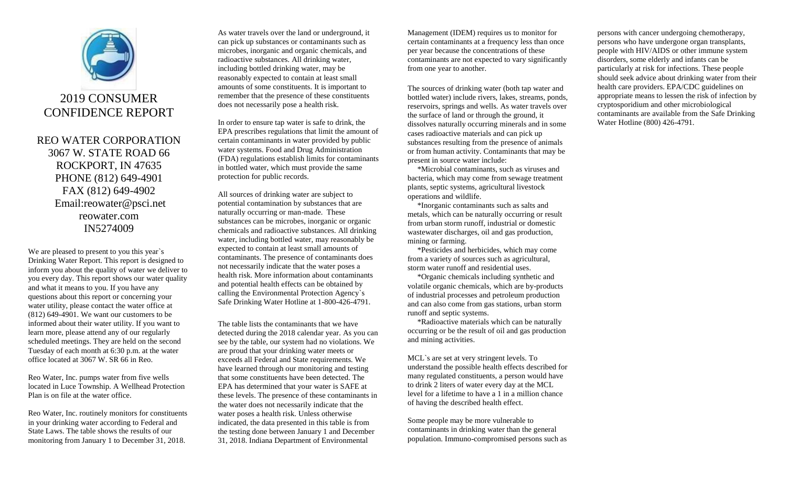

## 2019 CONSUMER CONFIDENCE REPORT

REO WATER CORPORATION 3067 W. STATE ROAD 66 ROCKPORT, IN 47635 PHONE (812) 649-4901 FAX (812) 649-4902 Email:reowater@psci.net reowater.com IN5274009

We are pleased to present to you this year's Drinking Water Report. This report is designed to inform you about the quality of water we deliver to you every day. This report shows our water quality and what it means to you. If you have any questions about this report or concerning your water utility, please contact the water office at (812) 649-4901. We want our customers to be informed about their water utility. If you want to learn more, please attend any of our regularly scheduled meetings. They are held on the second Tuesday of each month at 6:30 p.m. at the water office located at 3067 W. SR 66 in Reo.

Reo Water, Inc. pumps water from five wells located in Luce Township. A Wellhead Protection Plan is on file at the water office.

Reo Water, Inc. routinely monitors for constituents in your drinking water according to Federal and State Laws. The table shows the results of our monitoring from January 1 to December 31, 2018.

As water travels over the land or underground, it can pick up substances or contaminants such as microbes, inorganic and organic chemicals, and radioactive substances. All drinking water, including bottled drinking water, may be reasonably expected to contain at least small amounts of some constituents. It is important to remember that the presence of these constituents does not necessarily pose a health risk.

In order to ensure tap water is safe to drink, the EPA prescribes regulations that limit the amount of certain contaminants in water provided by public water systems. Food and Drug Administration (FDA) regulations establish limits for contaminants in bottled water, which must provide the same protection for public records.

All sources of drinking water are subject to potential contamination by substances that are naturally occurring or man-made. These substances can be microbes, inorganic or organic chemicals and radioactive substances. All drinking water, including bottled water, may reasonably be expected to contain at least small amounts of contaminants. The presence of contaminants does not necessarily indicate that the water poses a health risk. More information about contaminants and potential health effects can be obtained by calling the Environmental Protection Agency`s Safe Drinking Water Hotline at 1-800-426-4791.

The table lists the contaminants that we have detected during the 2018 calendar year. As you can see by the table, our system had no violations. We are proud that your drinking water meets or exceeds all Federal and State requirements. We have learned through our monitoring and testing that some constituents have been detected. The EPA has determined that your water is SAFE at these levels. The presence of these contaminants in the water does not necessarily indicate that the water poses a health risk. Unless otherwise indicated, the data presented in this table is from the testing done between January 1 and December 31, 2018. Indiana Department of Environmental

Management (IDEM) requires us to monitor for certain contaminants at a frequency less than once per year because the concentrations of these contaminants are not expected to vary significantly from one year to another.

The sources of drinking water (both tap water and bottled water) include rivers, lakes, streams, ponds, reservoirs, springs and wells. As water travels over the surface of land or through the ground, it dissolves naturally occurring minerals and in some cases radioactive materials and can pick up substances resulting from the presence of animals or from human activity. Contaminants that may be present in source water include:

 \*Microbial contaminants, such as viruses and bacteria, which may come from sewage treatment plants, septic systems, agricultural livestock operations and wildlife.

 \*Inorganic contaminants such as salts and metals, which can be naturally occurring or result from urban storm runoff, industrial or domestic wastewater discharges, oil and gas production, mining or farming.

 \*Pesticides and herbicides, which may come from a variety of sources such as agricultural, storm water runoff and residential uses.

 \*Organic chemicals including synthetic and volatile organic chemicals, which are by-products of industrial processes and petroleum production and can also come from gas stations, urban storm runoff and septic systems.

 \*Radioactive materials which can be naturally occurring or be the result of oil and gas production and mining activities.

MCL`s are set at very stringent levels. To understand the possible health effects described for many regulated constituents, a person would have to drink 2 liters of water every day at the MCL level for a lifetime to have a 1 in a million chance of having the described health effect.

Some people may be more vulnerable to contaminants in drinking water than the general population. Immuno-compromised persons such as persons with cancer undergoing chemotherapy, persons who have undergone organ transplants, people with HIV/AIDS or other immune system disorders, some elderly and infants can be particularly at risk for infections. These people should seek advice about drinking water from their health care providers. EPA/CDC guidelines on appropriate means to lessen the risk of infection by cryptosporidium and other microbiological contaminants are available from the Safe Drinking Water Hotline (800) 426-4791.